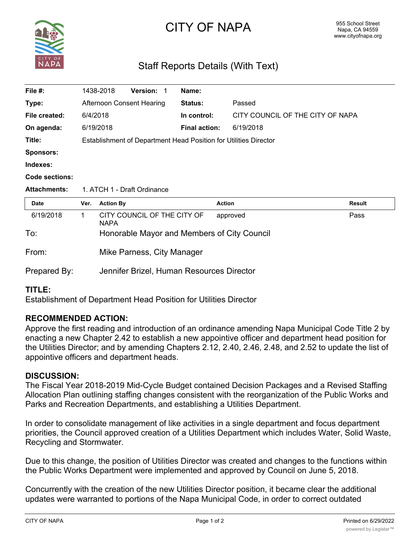

# CITY OF NAPA

# Staff Reports Details (With Text)

| File #:               |                                                                  | 1438-2018        | <b>Version:</b>                  | -1 | Name:                |                                             |        |
|-----------------------|------------------------------------------------------------------|------------------|----------------------------------|----|----------------------|---------------------------------------------|--------|
| Type:                 |                                                                  |                  | <b>Afternoon Consent Hearing</b> |    | Status:              | Passed                                      |        |
| File created:         | 6/4/2018                                                         |                  |                                  |    | In control:          | CITY COUNCIL OF THE CITY OF NAPA            |        |
| On agenda:            |                                                                  | 6/19/2018        |                                  |    | <b>Final action:</b> | 6/19/2018                                   |        |
| Title:                | Establishment of Department Head Position for Utilities Director |                  |                                  |    |                      |                                             |        |
| <b>Sponsors:</b>      |                                                                  |                  |                                  |    |                      |                                             |        |
| Indexes:              |                                                                  |                  |                                  |    |                      |                                             |        |
| <b>Code sections:</b> |                                                                  |                  |                                  |    |                      |                                             |        |
| <b>Attachments:</b>   | 1. ATCH 1 - Draft Ordinance                                      |                  |                                  |    |                      |                                             |        |
|                       |                                                                  |                  |                                  |    |                      |                                             |        |
| <b>Date</b>           | Ver.                                                             | <b>Action By</b> |                                  |    |                      | <b>Action</b>                               | Result |
| 6/19/2018             | $\mathbf{1}$                                                     | <b>NAPA</b>      | CITY COUNCIL OF THE CITY OF      |    |                      | approved                                    | Pass   |
| To:                   |                                                                  |                  |                                  |    |                      | Honorable Mayor and Members of City Council |        |
| From:                 |                                                                  |                  | Mike Parness, City Manager       |    |                      |                                             |        |

# **TITLE:**

Establishment of Department Head Position for Utilities Director

#### **RECOMMENDED ACTION:**

Approve the first reading and introduction of an ordinance amending Napa Municipal Code Title 2 by enacting a new Chapter 2.42 to establish a new appointive officer and department head position for the Utilities Director; and by amending Chapters 2.12, 2.40, 2.46, 2.48, and 2.52 to update the list of appointive officers and department heads.

#### **DISCUSSION:**

The Fiscal Year 2018-2019 Mid-Cycle Budget contained Decision Packages and a Revised Staffing Allocation Plan outlining staffing changes consistent with the reorganization of the Public Works and Parks and Recreation Departments, and establishing a Utilities Department.

In order to consolidate management of like activities in a single department and focus department priorities, the Council approved creation of a Utilities Department which includes Water, Solid Waste, Recycling and Stormwater.

Due to this change, the position of Utilities Director was created and changes to the functions within the Public Works Department were implemented and approved by Council on June 5, 2018.

Concurrently with the creation of the new Utilities Director position, it became clear the additional updates were warranted to portions of the Napa Municipal Code, in order to correct outdated